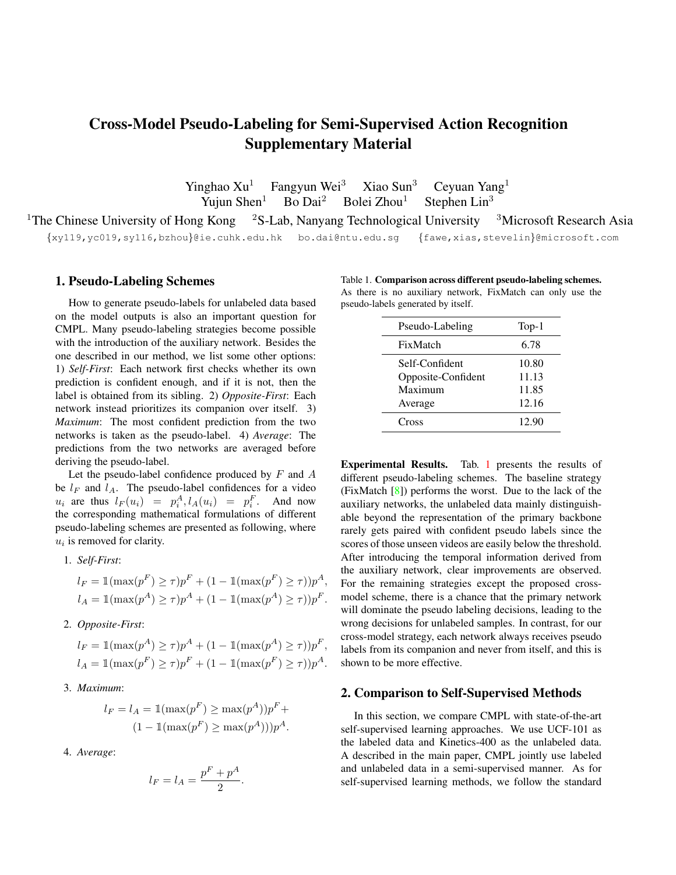# Cross-Model Pseudo-Labeling for Semi-Supervised Action Recognition Supplementary Material

Yinghao Xu<sup>1</sup> Fangyun Wei<sup>3</sup> Xiao Sun<sup>3</sup> Ceyuan Yang<sup>1</sup> Yuiun Shen<sup>1</sup> Bo Dai<sup>2</sup> Bolei Zhou<sup>1</sup> Stephen Lin<sup>3</sup> Yujun Shen<sup>1</sup> Bo Dai<sup>2</sup> Bolei Zhou<sup>1</sup> Stephen Lin<sup>3</sup>

<sup>1</sup>The Chinese University of Hong Kong <sup>2</sup>S-Lab, Nanyang Technological University <sup>3</sup>Microsoft Research Asia {xy119,yc019,sy116,bzhou}@ie.cuhk.edu.hk bo.dai@ntu.edu.sg {fawe,xias,stevelin}@microsoft.com

#### 1. Pseudo-Labeling Schemes

How to generate pseudo-labels for unlabeled data based on the model outputs is also an important question for CMPL. Many pseudo-labeling strategies become possible with the introduction of the auxiliary network. Besides the one described in our method, we list some other options: 1) *Self-First*: Each network first checks whether its own prediction is confident enough, and if it is not, then the label is obtained from its sibling. 2) *Opposite-First*: Each network instead prioritizes its companion over itself. 3) *Maximum*: The most confident prediction from the two networks is taken as the pseudo-label. 4) *Average*: The predictions from the two networks are averaged before deriving the pseudo-label.

Let the pseudo-label confidence produced by  $F$  and  $A$ be  $l_F$  and  $l_A$ . The pseudo-label confidences for a video  $u_i$  are thus  $l_F(u_i) = p_i^A$ ,  $l_A(u_i) = p_i^F$ . And now the corresponding mathematical formulations of different pseudo-labeling schemes are presented as following, where  $u_i$  is removed for clarity.

1. *Self-First*:

$$
l_F = 1(\max(p^F) \ge \tau)p^F + (1 - 1(\max(p^F) \ge \tau))p^A,
$$
  

$$
l_A = 1(\max(p^A) \ge \tau)p^A + (1 - 1(\max(p^A) \ge \tau))p^F.
$$

2. *Opposite-First*:

$$
l_F = \mathbb{1}(\max(p^A) \ge \tau)p^A + (1 - \mathbb{1}(\max(p^A) \ge \tau))p^F,
$$
  

$$
l_A = \mathbb{1}(\max(p^F) \ge \tau)p^F + (1 - \mathbb{1}(\max(p^F) \ge \tau))p^A.
$$

3. *Maximum*:

$$
l_F = l_A = \mathbb{1}(\max(p^F) \ge \max(p^A))p^F +
$$

$$
(1 - \mathbb{1}(\max(p^F) \ge \max(p^A)))p^A.
$$

4. *Average*:

$$
l_F = l_A = \frac{p^F + p^A}{2}.
$$

Table 1. Comparison across different pseudo-labeling schemes. As there is no auxiliary network, FixMatch can only use the pseudo-labels generated by itself.

| Pseudo-Labeling    | $Top-1$ |
|--------------------|---------|
| FixMatch           | 6.78    |
| Self-Confident     | 10.80   |
| Opposite-Confident | 11.13   |
| Maximum            | 11.85   |
| Average            | 12.16   |
| Cross              | 12.90   |

Experimental Results. Tab. 1 presents the results of different pseudo-labeling schemes. The baseline strategy (FixMatch [8]) performs the worst. Due to the lack of the auxiliary networks, the unlabeled data mainly distinguishable beyond the representation of the primary backbone rarely gets paired with confident pseudo labels since the scores of those unseen videos are easily below the threshold. After introducing the temporal information derived from the auxiliary network, clear improvements are observed. For the remaining strategies except the proposed crossmodel scheme, there is a chance that the primary network will dominate the pseudo labeling decisions, leading to the wrong decisions for unlabeled samples. In contrast, for our cross-model strategy, each network always receives pseudo labels from its companion and never from itself, and this is shown to be more effective.

### 2. Comparison to Self-Supervised Methods

In this section, we compare CMPL with state-of-the-art self-supervised learning approaches. We use UCF-101 as the labeled data and Kinetics-400 as the unlabeled data. A described in the main paper, CMPL jointly use labeled and unlabeled data in a semi-supervised manner. As for self-supervised learning methods, we follow the standard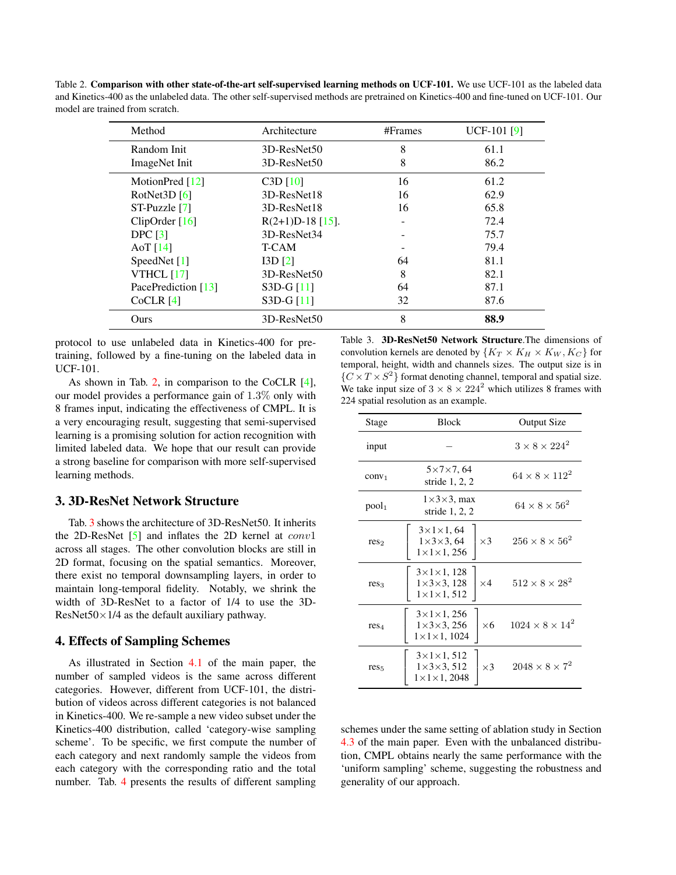Table 2. Comparison with other state-of-the-art self-supervised learning methods on UCF-101. We use UCF-101 as the labeled data and Kinetics-400 as the unlabeled data. The other self-supervised methods are pretrained on Kinetics-400 and fine-tuned on UCF-101. Our model are trained from scratch.

| Method              | Architecture       | $#$ Frames | <b>UCF-101</b> [9] |
|---------------------|--------------------|------------|--------------------|
| Random Init         | 3D-ResNet50        | 8          | 61.1               |
| ImageNet Init       | 3D-ResNet50        | 8          | 86.2               |
| MotionPred $[12]$   | C3D[10]            | 16         | 61.2               |
| RotNet3D $[6]$      | 3D-ResNet18        | 16         | 62.9               |
| ST-Puzzle [7]       | 3D-ResNet18        | 16         | 65.8               |
| ClipOrder $[16]$    | $R(2+1)D-18$ [15]. |            | 72.4               |
| DPC [3]             | 3D-ResNet34        |            | 75.7               |
| AoT $[14]$          | T-CAM              |            | 79.4               |
| SpeedNet [1]        | I3D <sub>[2]</sub> | 64         | 81.1               |
| <b>VTHCL</b> [17]   | 3D-ResNet50        | 8          | 82.1               |
| PacePrediction [13] | $S3D-G[11]$        | 64         | 87.1               |
| CoCLR [4]           | $S3D-G[11]$        | 32         | 87.6               |
| Ours                | 3D-ResNet50        | 8          | 88.9               |

protocol to use unlabeled data in Kinetics-400 for pretraining, followed by a fine-tuning on the labeled data in UCF-101.

As shown in Tab. 2, in comparison to the CoCLR [4], our model provides a performance gain of 1.3% only with 8 frames input, indicating the effectiveness of CMPL. It is a very encouraging result, suggesting that semi-supervised learning is a promising solution for action recognition with limited labeled data. We hope that our result can provide a strong baseline for comparison with more self-supervised learning methods.

## 3. 3D-ResNet Network Structure

Tab. 3 shows the architecture of 3D-ResNet50. It inherits the 2D-ResNet  $\lceil 5 \rceil$  and inflates the 2D kernel at  $conv1$ across all stages. The other convolution blocks are still in 2D format, focusing on the spatial semantics. Moreover, there exist no temporal downsampling layers, in order to maintain long-temporal fidelity. Notably, we shrink the width of 3D-ResNet to a factor of 1/4 to use the 3D-ResNet50 $\times$ 1/4 as the default auxiliary pathway.

### 4. Effects of Sampling Schemes

As illustrated in Section 4.1 of the main paper, the number of sampled videos is the same across different categories. However, different from UCF-101, the distribution of videos across different categories is not balanced in Kinetics-400. We re-sample a new video subset under the Kinetics-400 distribution, called 'category-wise sampling scheme'. To be specific, we first compute the number of each category and next randomly sample the videos from each category with the corresponding ratio and the total number. Tab. 4 presents the results of different sampling

Table 3. 3D-ResNet50 Network Structure.The dimensions of convolution kernels are denoted by  $\{K_T \times K_H \times K_W, K_C\}$  for temporal, height, width and channels sizes. The output size is in  $\{C \times T \times S^2\}$  format denoting channel, temporal and spatial size. We take input size of  $3 \times 8 \times 224^2$  which utilizes 8 frames with 224 spatial resolution as an example.

| Stage             | <b>Block</b>                                                                                         | Output Size                 |
|-------------------|------------------------------------------------------------------------------------------------------|-----------------------------|
| input             |                                                                                                      | $3 \times 8 \times 224^2$   |
| conv <sub>1</sub> | $5 \times 7 \times 7,64$<br>stride $1, 2, 2$                                                         | $64 \times 8 \times 112^2$  |
| pool <sub>1</sub> | $1\times3\times3$ , max<br>stride $1, 2, 2$                                                          | $64 \times 8 \times 56^2$   |
| res <sub>2</sub>  | $3\times1\times1, 64$<br>$\times 3$<br>$1\times3\times3$ , 64<br>$1\times1\times1$ , 256             | $256 \times 8 \times 56^2$  |
| res <sub>3</sub>  | $3 \times 1 \times 1$ , 128<br>$\times 4$<br>$1\times 3\times 3$ , 128<br>$1\times1\times1, 512$     | $512 \times 8 \times 28^2$  |
| res <sub>4</sub>  | $3\times1\times1$ , 256<br>$\times 6$<br>$1 \times 3 \times 3$ , 256<br>$1 \times 1 \times 1$ , 1024 | $1024 \times 8 \times 14^2$ |
| res <sub>5</sub>  | $3 \times 1 \times 1, 512$<br>$\times$ 3<br>$1\times 3\times 3, 512$<br>$1 \times 1 \times 1$ , 2048 | $2048 \times 8 \times 7^2$  |

schemes under the same setting of ablation study in Section 4.3 of the main paper. Even with the unbalanced distribution, CMPL obtains nearly the same performance with the 'uniform sampling' scheme, suggesting the robustness and generality of our approach.